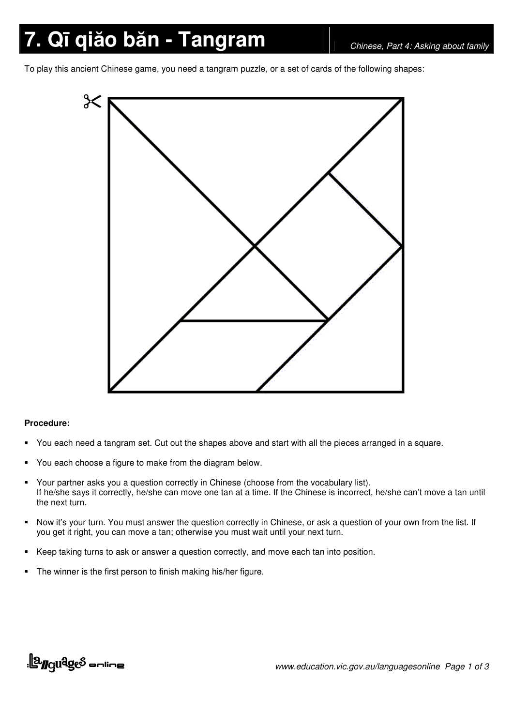# **7.** Qī qiăo băn - Tangram *Chinese, Part 4: Asking about family*

To play this ancient Chinese game, you need a tangram puzzle, or a set of cards of the following shapes:



#### **Procedure:**

- You each need a tangram set. Cut out the shapes above and start with all the pieces arranged in a square.
- You each choose a figure to make from the diagram below.
- Your partner asks you a question correctly in Chinese (choose from the vocabulary list). If he/she says it correctly, he/she can move one tan at a time. If the Chinese is incorrect, he/she can't move a tan until the next turn.
- Now it's your turn. You must answer the question correctly in Chinese, or ask a question of your own from the list. If you get it right, you can move a tan; otherwise you must wait until your next turn.
- Keep taking turns to ask or answer a question correctly, and move each tan into position.
- The winner is the first person to finish making his/her figure.

## <u>||a<sub>ngu</sub>qes anline</u>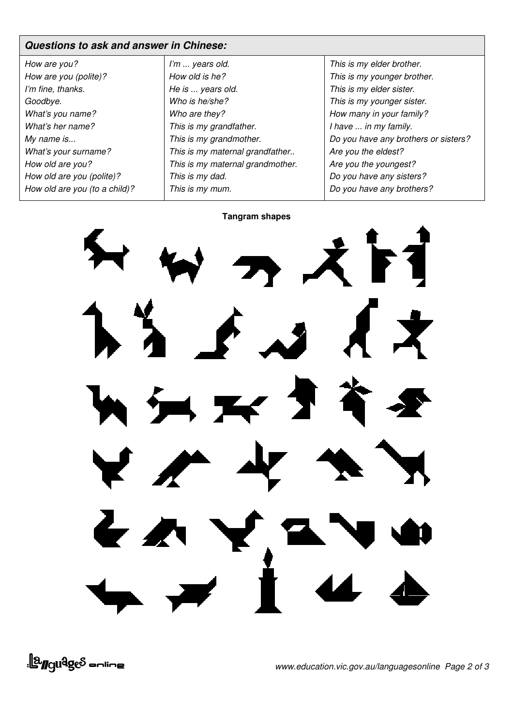### *Questions to ask and answer in Chinese:*

| How are you?                  |
|-------------------------------|
| How are you (polite)?         |
| I'm fine, thanks.             |
| Goodbye.                      |
| What's you name?              |
| What's her name?              |
| My name is                    |
| What's your surname?          |
| How old are you?              |
| How old are you (polite)?     |
| How old are you (to a child)? |

| I'm  years old.                  |
|----------------------------------|
| How old is he?                   |
| He is  years old.                |
| Who is he/she?                   |
| Who are they?                    |
| This is my grandfather.          |
| This is my grandmother.          |
| This is my maternal grandfather  |
| This is my maternal grandmother. |
| This is my dad.                  |
| This is my mum.                  |

*This is my elder brother. This is my younger brother. This is my elder sister. This is my younger sister. How many in your family? I have ... in my family. Do you have any brothers or sisters? Are you the eldest? Are you the youngest? Do you have any sisters? Do you have any brothers?*